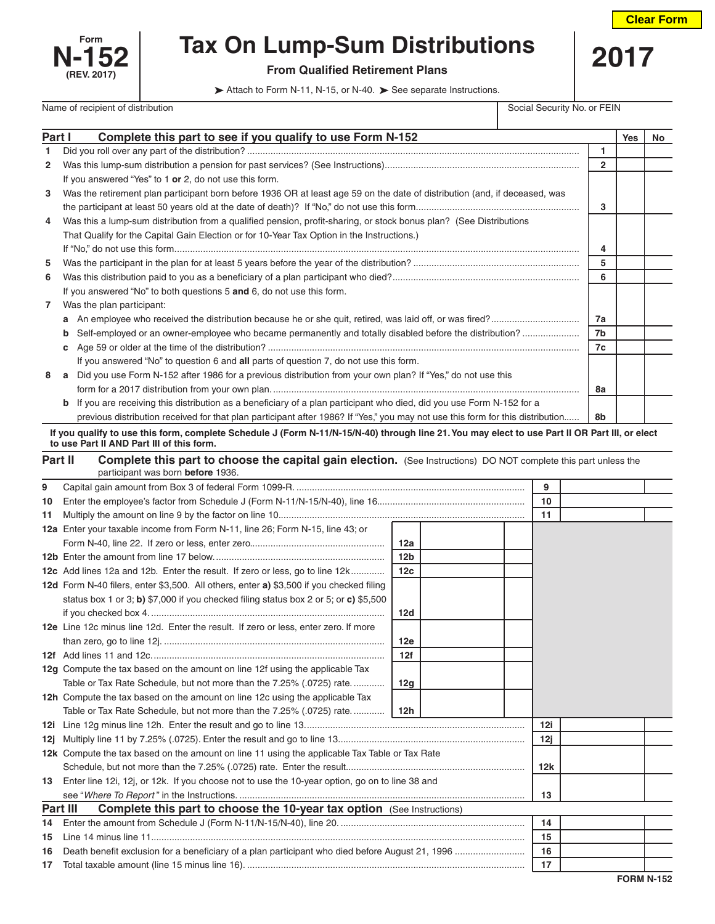



## **Form Tax On Lump-Sum Distributions** 2017<br>-152 **Purm Qualified Retirement Plans**

 $\triangleright$  Attach to Form N-11, N-15, or N-40.  $\triangleright$  See separate Instructions.

Name of recipient of distribution Social Security No. or FEIN

| Part I       | Complete this part to see if you qualify to use Form N-152                                                                                     |                 |  |  |    |              | <b>Yes</b> | No |
|--------------|------------------------------------------------------------------------------------------------------------------------------------------------|-----------------|--|--|----|--------------|------------|----|
| 1            |                                                                                                                                                |                 |  |  |    | 1            |            |    |
| 2            |                                                                                                                                                |                 |  |  |    | $\mathbf{2}$ |            |    |
|              | If you answered "Yes" to 1 or 2, do not use this form.                                                                                         |                 |  |  |    |              |            |    |
| 3            | Was the retirement plan participant born before 1936 OR at least age 59 on the date of distribution (and, if deceased, was                     |                 |  |  |    |              |            |    |
|              |                                                                                                                                                |                 |  |  |    | 3            |            |    |
| 4            | Was this a lump-sum distribution from a qualified pension, profit-sharing, or stock bonus plan? (See Distributions                             |                 |  |  |    |              |            |    |
|              | That Qualify for the Capital Gain Election or for 10-Year Tax Option in the Instructions.)                                                     |                 |  |  |    |              |            |    |
|              |                                                                                                                                                |                 |  |  |    | 4            |            |    |
| 5            |                                                                                                                                                |                 |  |  |    | 5            |            |    |
| 6            |                                                                                                                                                |                 |  |  |    | 6            |            |    |
|              | If you answered "No" to both questions 5 and 6, do not use this form.                                                                          |                 |  |  |    |              |            |    |
| $\mathbf{7}$ | Was the plan participant:                                                                                                                      |                 |  |  |    |              |            |    |
|              |                                                                                                                                                |                 |  |  |    | 7a           |            |    |
|              | Self-employed or an owner-employee who became permanently and totally disabled before the distribution?<br>b                                   |                 |  |  |    | 7b           |            |    |
|              | С                                                                                                                                              |                 |  |  |    | 7c           |            |    |
|              | If you answered "No" to question 6 and all parts of question 7, do not use this form.                                                          |                 |  |  |    |              |            |    |
| 8            | a Did you use Form N-152 after 1986 for a previous distribution from your own plan? If "Yes," do not use this                                  |                 |  |  |    |              |            |    |
|              |                                                                                                                                                |                 |  |  |    | 8a           |            |    |
|              | <b>b</b> If you are receiving this distribution as a beneficiary of a plan participant who died, did you use Form N-152 for a                  |                 |  |  |    |              |            |    |
|              | previous distribution received for that plan participant after 1986? If "Yes," you may not use this form for this distribution                 |                 |  |  |    | 8b           |            |    |
|              | If you qualify to use this form, complete Schedule J (Form N-11/N-15/N-40) through line 21. You may elect to use Part II OR Part III, or elect |                 |  |  |    |              |            |    |
|              | to use Part II AND Part III of this form.                                                                                                      |                 |  |  |    |              |            |    |
|              | Part II<br><b>Complete this part to choose the capital gain election.</b> (See Instructions) DO NOT complete this part unless the              |                 |  |  |    |              |            |    |
|              | participant was born before 1936.                                                                                                              |                 |  |  |    |              |            |    |
| 9            |                                                                                                                                                |                 |  |  | 9  |              |            |    |
|              |                                                                                                                                                |                 |  |  | 10 |              |            |    |
|              |                                                                                                                                                |                 |  |  | 11 |              |            |    |
|              | <b>12a</b> Enter your taxable income from Form N-11, line 26; Form N-15, line 43; or                                                           |                 |  |  |    |              |            |    |
|              |                                                                                                                                                | 12a             |  |  |    |              |            |    |
|              |                                                                                                                                                | 12 <sub>b</sub> |  |  |    |              |            |    |
|              | 12c Add lines 12a and 12b. Enter the result. If zero or less, go to line 12k                                                                   | 12c             |  |  |    |              |            |    |
|              | 12d Form N-40 filers, enter \$3,500. All others, enter a) \$3,500 if you checked filing                                                        |                 |  |  |    |              |            |    |
|              | status box 1 or 3; b) \$7,000 if you checked filing status box 2 or 5; or c) \$5,500                                                           |                 |  |  |    |              |            |    |
|              |                                                                                                                                                | 12d             |  |  |    |              |            |    |
|              | 12e Line 12c minus line 12d. Enter the result. If zero or less, enter zero. If more                                                            |                 |  |  |    |              |            |    |
|              |                                                                                                                                                | 12e             |  |  |    |              |            |    |
|              |                                                                                                                                                | 12f             |  |  |    |              |            |    |
|              | 12g Compute the tax based on the amount on line 12f using the applicable Tax                                                                   |                 |  |  |    |              |            |    |
|              | Table or Tax Rate Schedule, but not more than the 7.25% (.0725) rate.                                                                          | 12g             |  |  |    |              |            |    |
|              | 12h Compute the tax based on the amount on line 12c using the applicable Tax                                                                   |                 |  |  |    |              |            |    |

|                                                                                        | Table or Tax Rate Schedule, but not more than the 7.25% (.0725) rate 12h                          |     |  |  |
|----------------------------------------------------------------------------------------|---------------------------------------------------------------------------------------------------|-----|--|--|
|                                                                                        |                                                                                                   | 12i |  |  |
|                                                                                        |                                                                                                   | 12i |  |  |
|                                                                                        | 12k Compute the tax based on the amount on line 11 using the applicable Tax Table or Tax Rate     |     |  |  |
|                                                                                        |                                                                                                   | 12k |  |  |
|                                                                                        | 13 Enter line 12i, 12j, or 12k. If you choose not to use the 10-year option, go on to line 38 and |     |  |  |
|                                                                                        |                                                                                                   | 13  |  |  |
| <b>Part III Complete this part to choose the 10-year tax option</b> (See Instructions) |                                                                                                   |     |  |  |
|                                                                                        |                                                                                                   | 14  |  |  |
| 15                                                                                     |                                                                                                   | 15  |  |  |
|                                                                                        |                                                                                                   | 16  |  |  |
|                                                                                        |                                                                                                   | 17  |  |  |